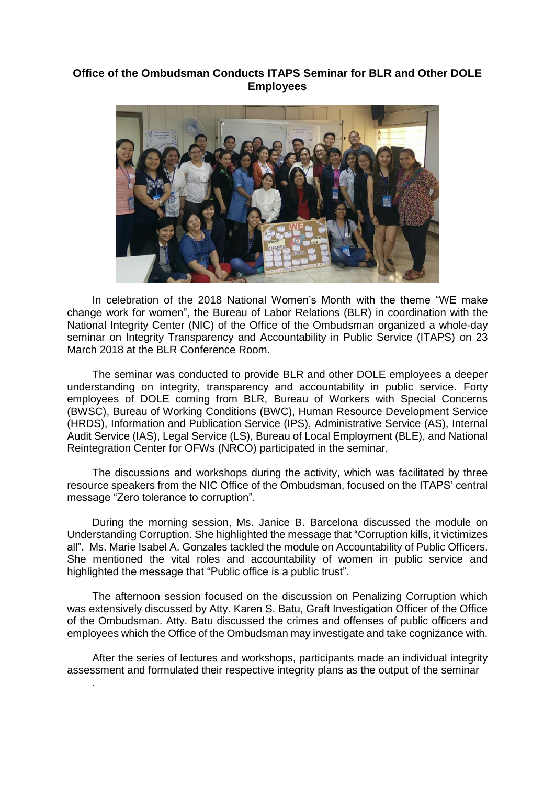## **Office of the Ombudsman Conducts ITAPS Seminar for BLR and Other DOLE Employees**



In celebration of the 2018 National Women's Month with the theme "WE make change work for women", the Bureau of Labor Relations (BLR) in coordination with the National Integrity Center (NIC) of the Office of the Ombudsman organized a whole-day seminar on Integrity Transparency and Accountability in Public Service (ITAPS) on 23 March 2018 at the BLR Conference Room.

The seminar was conducted to provide BLR and other DOLE employees a deeper understanding on integrity, transparency and accountability in public service. Forty employees of DOLE coming from BLR, Bureau of Workers with Special Concerns (BWSC), Bureau of Working Conditions (BWC), Human Resource Development Service (HRDS), Information and Publication Service (IPS), Administrative Service (AS), Internal Audit Service (IAS), Legal Service (LS), Bureau of Local Employment (BLE), and National Reintegration Center for OFWs (NRCO) participated in the seminar.

The discussions and workshops during the activity, which was facilitated by three resource speakers from the NIC Office of the Ombudsman, focused on the ITAPS' central message "Zero tolerance to corruption".

During the morning session, Ms. Janice B. Barcelona discussed the module on Understanding Corruption. She highlighted the message that "Corruption kills, it victimizes all". Ms. Marie Isabel A. Gonzales tackled the module on Accountability of Public Officers. She mentioned the vital roles and accountability of women in public service and highlighted the message that "Public office is a public trust".

The afternoon session focused on the discussion on Penalizing Corruption which was extensively discussed by Atty. Karen S. Batu, Graft Investigation Officer of the Office of the Ombudsman. Atty. Batu discussed the crimes and offenses of public officers and employees which the Office of the Ombudsman may investigate and take cognizance with.

After the series of lectures and workshops, participants made an individual integrity assessment and formulated their respective integrity plans as the output of the seminar

.